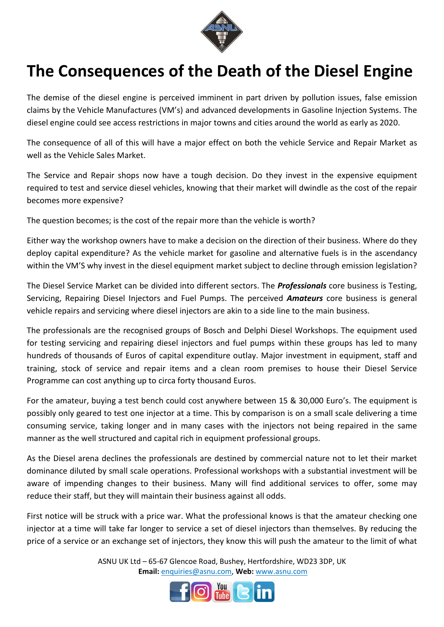

## **The Consequences of the Death of the Diesel Engine**

The demise of the diesel engine is perceived imminent in part driven by pollution issues, false emission claims by the Vehicle Manufactures (VM's) and advanced developments in Gasoline Injection Systems. The diesel engine could see access restrictions in major towns and cities around the world as early as 2020.

The consequence of all of this will have a major effect on both the vehicle Service and Repair Market as well as the Vehicle Sales Market.

The Service and Repair shops now have a tough decision. Do they invest in the expensive equipment required to test and service diesel vehicles, knowing that their market will dwindle as the cost of the repair becomes more expensive?

The question becomes; is the cost of the repair more than the vehicle is worth?

Either way the workshop owners have to make a decision on the direction of their business. Where do they deploy capital expenditure? As the vehicle market for gasoline and alternative fuels is in the ascendancy within the VM'S why invest in the diesel equipment market subject to decline through emission legislation?

The Diesel Service Market can be divided into different sectors. The *Professionals* core business is Testing, Servicing, Repairing Diesel Injectors and Fuel Pumps. The perceived *Amateurs* core business is general vehicle repairs and servicing where diesel injectors are akin to a side line to the main business.

The professionals are the recognised groups of Bosch and Delphi Diesel Workshops. The equipment used for testing servicing and repairing diesel injectors and fuel pumps within these groups has led to many hundreds of thousands of Euros of capital expenditure outlay. Major investment in equipment, staff and training, stock of service and repair items and a clean room premises to house their Diesel Service Programme can cost anything up to circa forty thousand Euros.

For the amateur, buying a test bench could cost anywhere between 15 & 30,000 Euro's. The equipment is possibly only geared to test one injector at a time. This by comparison is on a small scale delivering a time consuming service, taking longer and in many cases with the injectors not being repaired in the same manner as the well structured and capital rich in equipment professional groups.

As the Diesel arena declines the professionals are destined by commercial nature not to let their market dominance diluted by small scale operations. Professional workshops with a substantial investment will be aware of impending changes to their business. Many will find additional services to offer, some may reduce their staff, but they will maintain their business against all odds.

First notice will be struck with a price war. What the professional knows is that the amateur checking one injector at a time will take far longer to service a set of diesel injectors than themselves. By reducing the price of a service or an exchange set of injectors, they know this will push the amateur to the limit of what

> ASNU UK Ltd – 65-67 Glencoe Road, Bushey, Hertfordshire, WD23 3DP, UK **Email:** enquiries@asnu.com, **Web:** [www.asnu.com](http://www.asnu.com/)

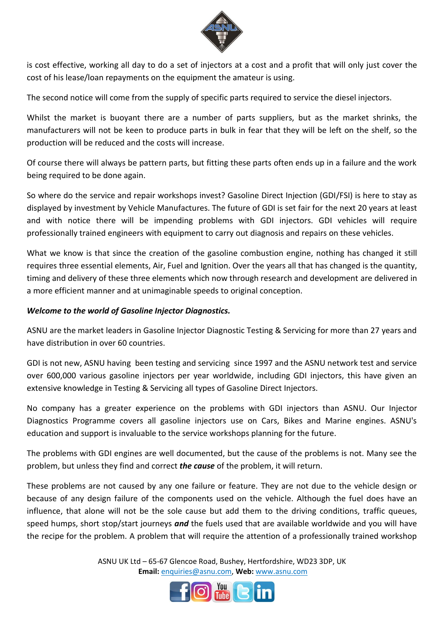

is cost effective, working all day to do a set of injectors at a cost and a profit that will only just cover the cost of his lease/loan repayments on the equipment the amateur is using.

The second notice will come from the supply of specific parts required to service the diesel injectors.

Whilst the market is buoyant there are a number of parts suppliers, but as the market shrinks, the manufacturers will not be keen to produce parts in bulk in fear that they will be left on the shelf, so the production will be reduced and the costs will increase.

Of course there will always be pattern parts, but fitting these parts often ends up in a failure and the work being required to be done again.

So where do the service and repair workshops invest? Gasoline Direct Injection (GDI/FSI) is here to stay as displayed by investment by Vehicle Manufactures. The future of GDI is set fair for the next 20 years at least and with notice there will be impending problems with GDI injectors. GDI vehicles will require professionally trained engineers with equipment to carry out diagnosis and repairs on these vehicles.

What we know is that since the creation of the gasoline combustion engine, nothing has changed it still requires three essential elements, Air, Fuel and Ignition. Over the years all that has changed is the quantity, timing and delivery of these three elements which now through research and development are delivered in a more efficient manner and at unimaginable speeds to original conception.

## *Welcome to the world of Gasoline Injector Diagnostics.*

ASNU are the market leaders in Gasoline Injector Diagnostic Testing & Servicing for more than 27 years and have distribution in over 60 countries.

GDI is not new, ASNU having been testing and servicing since 1997 and the ASNU network test and service over 600,000 various gasoline injectors per year worldwide, including GDI injectors, this have given an extensive knowledge in Testing & Servicing all types of Gasoline Direct Injectors.

No company has a greater experience on the problems with GDI injectors than ASNU. Our Injector Diagnostics Programme covers all gasoline injectors use on Cars, Bikes and Marine engines. ASNU's education and support is invaluable to the service workshops planning for the future.

The problems with GDI engines are well documented, but the cause of the problems is not. Many see the problem, but unless they find and correct *the cause* of the problem, it will return.

These problems are not caused by any one failure or feature. They are not due to the vehicle design or because of any design failure of the components used on the vehicle. Although the fuel does have an influence, that alone will not be the sole cause but add them to the driving conditions, traffic queues, speed humps, short stop/start journeys *and* the fuels used that are available worldwide and you will have the recipe for the problem. A problem that will require the attention of a professionally trained workshop

> ASNU UK Ltd – 65-67 Glencoe Road, Bushey, Hertfordshire, WD23 3DP, UK **Email:** enquiries@asnu.com, **Web:** [www.asnu.com](http://www.asnu.com/)